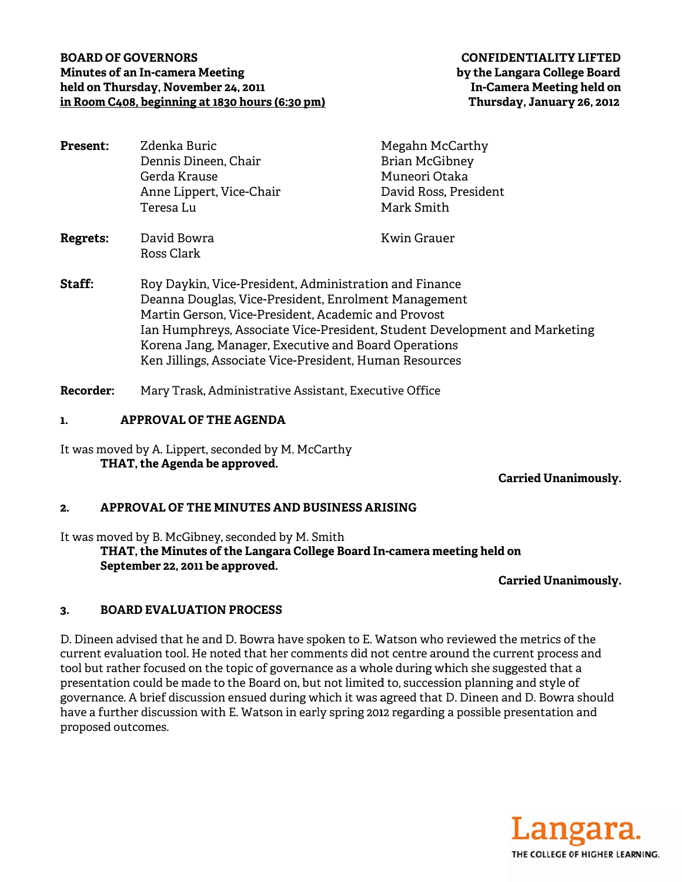## **BOARD OF GOVERNORS Minutes of an In-camera Meeting** held on Thursday, November 24, 2011 in Room C408, beginning at 1830 hours (6:30 pm)

| <b>Present:</b>  | Zdenka Buric                                                                                                                                                                                                                                                                                                                                                           | Megahn McCarthy       |
|------------------|------------------------------------------------------------------------------------------------------------------------------------------------------------------------------------------------------------------------------------------------------------------------------------------------------------------------------------------------------------------------|-----------------------|
|                  | Dennis Dineen, Chair                                                                                                                                                                                                                                                                                                                                                   | <b>Brian McGibney</b> |
|                  | Gerda Krause                                                                                                                                                                                                                                                                                                                                                           | Muneori Otaka         |
|                  | Anne Lippert, Vice-Chair                                                                                                                                                                                                                                                                                                                                               | David Ross, President |
|                  | Teresa Lu                                                                                                                                                                                                                                                                                                                                                              | Mark Smith            |
| <b>Regrets:</b>  | David Bowra<br>Ross Clark                                                                                                                                                                                                                                                                                                                                              | Kwin Grauer           |
| Staff:           | Roy Daykin, Vice-President, Administration and Finance<br>Deanna Douglas, Vice-President, Enrolment Management<br>Martin Gerson, Vice-President, Academic and Provost<br>Ian Humphreys, Associate Vice-President, Student Development and Marketing<br>Korena Jang, Manager, Executive and Board Operations<br>Ken Jillings, Associate Vice-President, Human Resources |                       |
| <b>Recorder:</b> | Mary Trask, Administrative Assistant, Executive Office                                                                                                                                                                                                                                                                                                                 |                       |

#### **APPROVAL OF THE AGENDA**  $\mathbf{1}$

It was moved by A. Lippert, seconded by M. McCarthy THAT, the Agenda be approved.

**Carried Unanimously.** 

### APPROVAL OF THE MINUTES AND BUSINESS ARISING  $2.$

It was moved by B. McGibney, seconded by M. Smith THAT, the Minutes of the Langara College Board In-camera meeting held on September 22, 2011 be approved.

**Carried Unanimously.** 

### $\mathbf{R}$ **BOARD EVALUATION PROCESS**

D. Dineen advised that he and D. Bowra have spoken to E. Watson who reviewed the metrics of the current evaluation tool. He noted that her comments did not centre around the current process and tool but rather focused on the topic of governance as a whole during which she suggested that a presentation could be made to the Board on, but not limited to, succession planning and style of governance. A brief discussion ensued during which it was agreed that D. Dineen and D. Bowra should have a further discussion with E. Watson in early spring 2012 regarding a possible presentation and proposed outcomes.